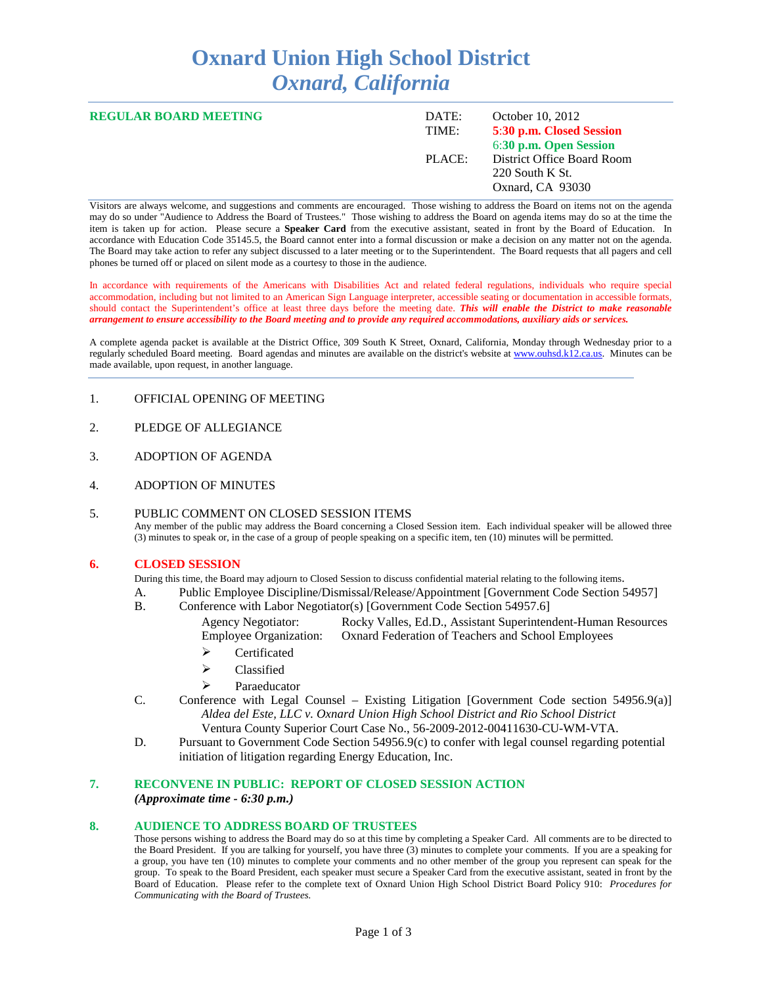# **Oxnard Union High School District** *Oxnard, California*

| <b>REGULAR BOARD MEETING</b> | DATE:<br>TIME: | October 10, 2012<br>5:30 p.m. Closed Session<br>6:30 p.m. Open Session |
|------------------------------|----------------|------------------------------------------------------------------------|
|                              | PLACE:         | District Office Board Room<br>220 South K St.<br>Oxnard, CA 93030      |

Visitors are always welcome, and suggestions and comments are encouraged. Those wishing to address the Board on items not on the agenda may do so under "Audience to Address the Board of Trustees." Those wishing to address the Board on agenda items may do so at the time the item is taken up for action. Please secure a **Speaker Card** from the executive assistant, seated in front by the Board of Education. In accordance with Education Code 35145.5, the Board cannot enter into a formal discussion or make a decision on any matter not on the agenda. The Board may take action to refer any subject discussed to a later meeting or to the Superintendent. The Board requests that all pagers and cell phones be turned off or placed on silent mode as a courtesy to those in the audience.

In accordance with requirements of the Americans with Disabilities Act and related federal regulations, individuals who require special accommodation, including but not limited to an American Sign Language interpreter, accessible seating or documentation in accessible formats, should contact the Superintendent's office at least three days before the meeting date. *This will enable the District to make reasonable arrangement to ensure accessibility to the Board meeting and to provide any required accommodations, auxiliary aids or services.* 

A complete agenda packet is available at the District Office, 309 South K Street, Oxnard, California, Monday through Wednesday prior to a regularly scheduled Board meeting. Board agendas and minutes are available on the district's website at [www.ouhsd.k12.ca.us.](http://www.ouhsd.k12.ca.us/)Minutes can be made available, upon request, in another language.

- 1. OFFICIAL OPENING OF MEETING
- 2. PLEDGE OF ALLEGIANCE
- 3. ADOPTION OF AGENDA
- 4. ADOPTION OF MINUTES

#### 5. PUBLIC COMMENT ON CLOSED SESSION ITEMS Any member of the public may address the Board concerning a Closed Session item. Each individual speaker will be allowed three (3) minutes to speak or, in the case of a group of people speaking on a specific item, ten (10) minutes will be permitted.

#### **6. CLOSED SESSION**

During this time, the Board may adjourn to Closed Session to discuss confidential material relating to the following items.

- A. Public Employee Discipline/Dismissal/Release/Appointment [Government Code Section 54957]
- B. Conference with Labor Negotiator(s) [Government Code Section 54957.6]
	- Agency Negotiator: Rocky Valles, Ed.D., Assistant Superintendent-Human Resources<br>Employee Organization: Oxnard Federation of Teachers and School Employees Oxnard Federation of Teachers and School Employees
		- $\triangleright$  Certificated
		- > Classified
		- $\triangleright$  Paraeducator
- C. Conference with Legal Counsel Existing Litigation [Government Code section 54956.9(a)] *Aldea del Este, LLC v. Oxnard Union High School District and Rio School District* Ventura County Superior Court Case No., 56-2009-2012-00411630-CU-WM-VTA.
- D. Pursuant to Government Code Section 54956.9(c) to confer with legal counsel regarding potential initiation of litigation regarding Energy Education, Inc.

#### **7. RECONVENE IN PUBLIC: REPORT OF CLOSED SESSION ACTION** *(Approximate time - 6:30 p.m.)*

#### **8. AUDIENCE TO ADDRESS BOARD OF TRUSTEES**

Those persons wishing to address the Board may do so at this time by completing a Speaker Card. All comments are to be directed to the Board President. If you are talking for yourself, you have three (3) minutes to complete your comments. If you are a speaking for a group, you have ten (10) minutes to complete your comments and no other member of the group you represent can speak for the group. To speak to the Board President, each speaker must secure a Speaker Card from the executive assistant, seated in front by the Board of Education. Please refer to the complete text of Oxnard Union High School District Board Policy 910: *Procedures for Communicating with the Board of Trustees.*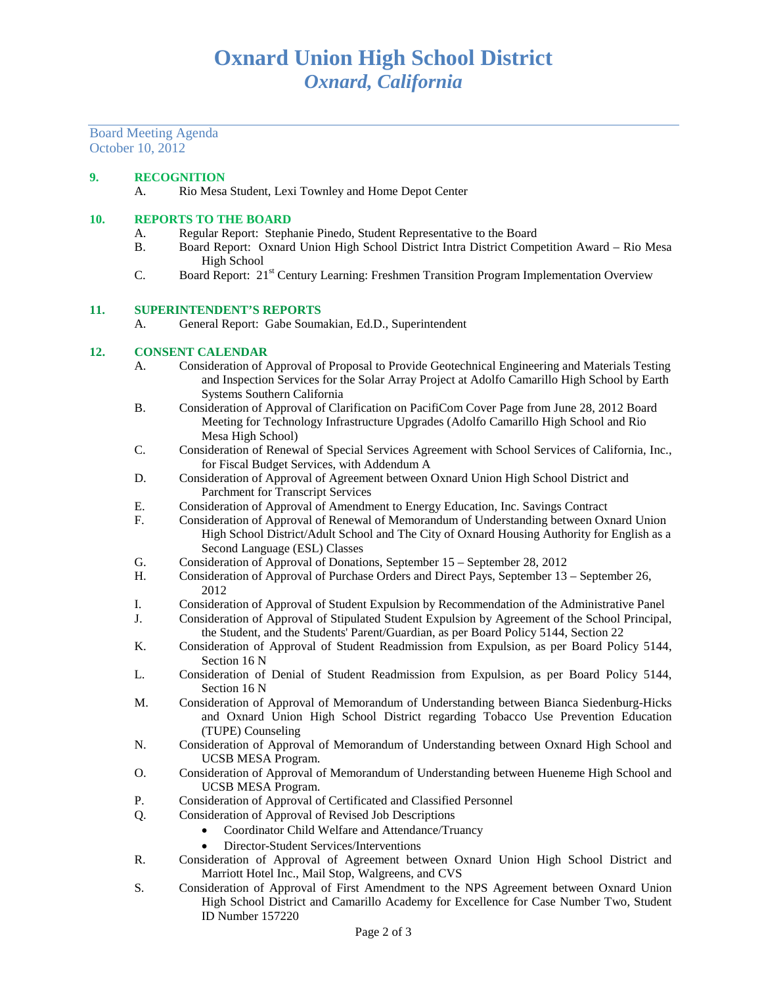Board Meeting Agenda October 10, 2012

## **9. RECOGNITION**

A. Rio Mesa Student, Lexi Townley and Home Depot Center

### **10. REPORTS TO THE BOARD**

- A. Regular Report: Stephanie Pinedo, Student Representative to the Board<br>
B. Board Report: Oxnard Union High School District Intra District Comp
- B. Board Report: Oxnard Union High School District Intra District Competition Award Rio Mesa High School
- C. Board Report: 21st Century Learning: Freshmen Transition Program Implementation Overview

#### **11. SUPERINTENDENT'S REPORTS**

A. General Report: Gabe Soumakian, Ed.D., Superintendent

### **12. CONSENT CALENDAR**

- A. Consideration of Approval of Proposal to Provide Geotechnical Engineering and Materials Testing and Inspection Services for the Solar Array Project at Adolfo Camarillo High School by Earth Systems Southern California
- B. Consideration of Approval of Clarification on PacifiCom Cover Page from June 28, 2012 Board Meeting for Technology Infrastructure Upgrades (Adolfo Camarillo High School and Rio Mesa High School)
- C. Consideration of Renewal of Special Services Agreement with School Services of California, Inc., for Fiscal Budget Services, with Addendum A
- D. Consideration of Approval of Agreement between Oxnard Union High School District and Parchment for Transcript Services
- E. Consideration of Approval of Amendment to Energy Education, Inc. Savings Contract
- F. Consideration of Approval of Renewal of Memorandum of Understanding between Oxnard Union High School District/Adult School and The City of Oxnard Housing Authority for English as a Second Language (ESL) Classes
- G. Consideration of Approval of Donations, September 15 September 28, 2012<br>H. Consideration of Approval of Purchase Orders and Direct Pays. September 13
- Consideration of Approval of Purchase Orders and Direct Pays, September 13 September 26, 2012
- I. Consideration of Approval of Student Expulsion by Recommendation of the Administrative Panel<br>
I. Consideration of Approval of Stipulated Student Expulsion by Agreement of the School Principal
- Consideration of Approval of Stipulated Student Expulsion by Agreement of the School Principal, the Student, and the Students' Parent/Guardian, as per Board Policy 5144, Section 22
- K. Consideration of Approval of Student Readmission from Expulsion, as per Board Policy 5144, Section 16 N
- L. Consideration of Denial of Student Readmission from Expulsion, as per Board Policy 5144, Section 16 N
- M. Consideration of Approval of Memorandum of Understanding between Bianca Siedenburg-Hicks and Oxnard Union High School District regarding Tobacco Use Prevention Education (TUPE) Counseling
- N. Consideration of Approval of Memorandum of Understanding between Oxnard High School and UCSB MESA Program.
- O. Consideration of Approval of Memorandum of Understanding between Hueneme High School and UCSB MESA Program.
- P. Consideration of Approval of Certificated and Classified Personnel
- Q. Consideration of Approval of Revised Job Descriptions
	- Coordinator Child Welfare and Attendance/Truancy
	- Director-Student Services/Interventions
- R. Consideration of Approval of Agreement between Oxnard Union High School District and Marriott Hotel Inc., Mail Stop, Walgreens, and CVS
- S. Consideration of Approval of First Amendment to the NPS Agreement between Oxnard Union High School District and Camarillo Academy for Excellence for Case Number Two, Student ID Number 157220